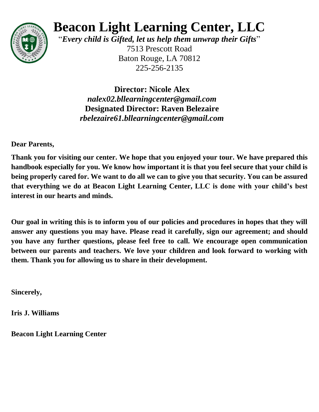

# **Beacon Light Learning Center, LLC**

"*Every child is Gifted, let us help them unwrap their Gifts*"

7513 Prescott Road Baton Rouge, LA 70812 225-256-2135

**Director: Nicole Alex** *nalex02.bllearningcenter@gmail.com* **Designated Director: Raven Belezaire**  *rbelezaire61.bllearningcenter@gmail.com*

**Dear Parents,**

**Thank you for visiting our center. We hope that you enjoyed your tour. We have prepared this handbook especially for you. We know how important it is that you feel secure that your child is being properly cared for. We want to do all we can to give you that security. You can be assured that everything we do at Beacon Light Learning Center, LLC is done with your child's best interest in our hearts and minds.**

**Our goal in writing this is to inform you of our policies and procedures in hopes that they will answer any questions you may have. Please read it carefully, sign our agreement; and should you have any further questions, please feel free to call. We encourage open communication between our parents and teachers. We love your children and look forward to working with them. Thank you for allowing us to share in their development.**

**Sincerely,**

**Iris J. Williams**

**Beacon Light Learning Center**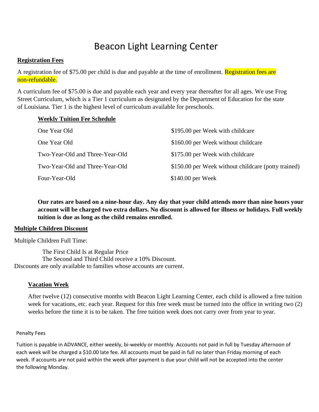# Beacon Light Learning Center

#### **Registration Fees**

A registration fee of \$75.00 per child is due and payable at the time of enrollment. Registration fees are non-refundable.

A curriculum fee of \$75.00 is due and payable each year and every year thereafter for all ages. We use Frog Street Curriculum, which is a Tier 1 curriculum as designated by the Department of Education for the state of Louisiana. Tier 1 is the highest level of curriculum available for preschools.

#### **Weekly Tuition Fee Schedule**

| One Year Old                    | \$195.00 per Week with childcare                    |
|---------------------------------|-----------------------------------------------------|
| One Year Old                    | \$160.00 per Week without childcare                 |
| Two-Year-Old and Three-Year-Old | \$175.00 per Week with childcare                    |
| Two-Year-Old and Three-Year-Old | \$150.00 per Week without childcare (potty trained) |
| Four-Year-Old                   | $$140.00$ per Week                                  |

**Our rates are based on a nine-hour day. Any day that your child attends more than nine hours your account will be charged two extra dollars. No discount is allowed for illness or holidays. Full weekly tuition is due as long as the child remains enrolled.**

#### **Multiple Children Discount**

Multiple Children Full Time:

The First Child Is at Regular Price The Second and Third Child receive a 10% Discount. Discounts are only available to families whose accounts are current.

# **Vacation Week**

After twelve (12) consecutive months with Beacon Light Learning Center, each child is allowed a free tuition week for vacations, etc. each year. Request for this free week must be turned into the office in writing two (2) weeks before the time it is to be taken. The free tuition week does not carry over from year to year.

#### Penalty Fees

Tuition is payable in ADVANCE, either weekly, bi-weekly or monthly. Accounts not paid in full by Tuesday afternoon of each week will be charged a \$10.00 late fee. All accounts must be paid in full no later than Friday morning of each week. If accounts are not paid within the week after payment is due your child will not be accepted into the center the following Monday.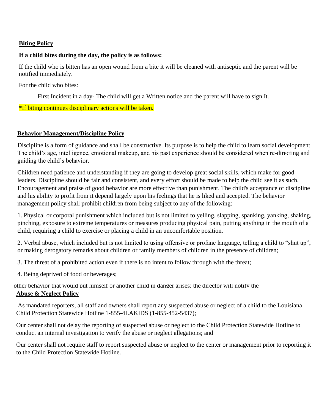# **Biting Policy**

#### If a child bites during the day, the policy is as follows:

If the child who is bitten has an open wound from a bite it will be cleaned with antiseptic and the parent will be n the efficient who is one

**Payments** For the child who bites:

 $T_{\rm eff}^{\rm eff}$  or money or money or money or money or money orders payable to Beacon Light Learning payable to Beacon Light Learning payable to Beacon Light Learning payable to Beacon Light Learning payable to Beacon Light First Incident in a day- The child will get a Written notice and the parent will have to sign It.

\*If biting continues disciplinary actions will be taken.

#### $\mathbf{D}_{\text{chaviour}}$  Monogoment (Discipline Delicy complete and returned to the director before the entry **Behavior Management/Discipline Policy**

The child's age, intelligence, emotional makeup, and his past experience should be considered when re-directing and the child's age, intelligence, emotional makeup, and his past experience should be considered when re-dire guiding the child's behavior. Discipline is a form of guidance and shall be constructive. Its purpose is to help the child to learn social development.

Children need patience and understanding if they are going to develop great social skills, which make for good 4. A Permission Form for Emergency Medical Care and his ability to profit from it depend largely upon his feelings that he is liked and accepted. The behavior leaders. Discipline should be fair and consistent, and every effort should be made to help the child see it as such. Encouragement and praise of good behavior are more effective than punishment. The child's acceptance of discipline management policy shall prohibit children from being subject to any of the following:

**Withdrawal from Center** pinching, exposure to extreme temperatures or measures producing physical pain, putting anything in the mouth of a child, requiring a child to exercise or placing a child in an uncomfortable position. 1. Physical or corporal punishment which included but is not limited to yelling, slapping, spanking, yanking, shaking,

2. Verbal abuse, which included but is not limited to using offensive or profane language, telling a child to "shut up", 2. Verous about, which included but is not immed to asing orientate or protate tanguage, terms a emid-<br>or making derogatory remarks about children or family members of children in the presence of children;

3. The threat of a prohibited action even if there is no intent to follow through with the threat;

4. Being deprived of food or beverages;

other behavior that would put himself or another child in danger arises; the director will notify the **Abuse & Neglect Policy** 

is used. Only by working to the successful in handling each child's needs. Consistent in handling each child's needs. Consistent in handling each child's needs. Consistent in handling each child's needs. Consistent in the As mandated reporters, all staff and owners shall report any suspected abuse or neglect of a child to the Louisiana Child Protection Statewide Hotline 1-855-4LAKIDS (1-855-452-5437);

Our center shall not delay the reporting of suspected abuse or neglect to the Child Protection Statewide Hotline to conduct an internal investigation to verify the abuse or neglect allegations; and

Our center shall not require staff to report suspected abuse or neglect to the center or management prior to reporting it to the Child Protection Statewide Hotline.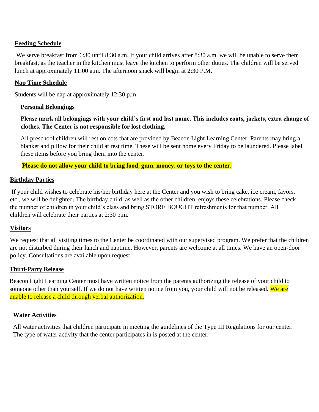# **Feeding Schedule**

We serve breakfast from 6:30 until 8:30 a.m. If your child arrives after 8:30 a.m. we will be unable to serve them breakfast, as the teacher in the kitchen must leave the kitchen to perform other duties. The children will be served lunch at approximately 11:00 a.m. The afternoon snack will begin at 2:30 P.M.

# **Nap Time Schedule**

Students will be nap at approximately 12:30 p.m.

# **Personal Belongings**

# **Please mark all belongings with your child's first and last name. This includes coats, jackets, extra change of clothes. The Center is not responsible for lost clothing.**

All preschool children will rest on cots that are provided by Beacon Light Learning Center. Parents may bring a blanket and pillow for their child at rest time. These will be sent home every Friday to be laundered. Please label these items before you bring them into the center.

**Please do not allow your child to bring food, gum, money, or toys to the center.**

# **Birthday Parties**

If your child wishes to celebrate his/her birthday here at the Center and you wish to bring cake, ice cream, favors, etc., we will be delighted. The birthday child, as well as the other children, enjoys these celebrations. Please check the number of children in your child's class and bring STORE BOUGHT refreshments for that number. All children will celebrate their parties at 2:30 p.m.

# **Visitors**

We request that all visiting times to the Center be coordinated with our supervised program. We prefer that the children are not disturbed during their lunch and naptime. However, parents are welcome at all times. We have an open-door policy. Consultations are available upon request.

# **Third-Party Release**

Beacon Light Learning Center must have written notice from the parents authorizing the release of your child to someone other than yourself. If we do not have written notice from you, your child will not be released. We are unable to release a child through verbal authorization.

# **Water Activities**

All water activities that children participate in meeting the guidelines of the Type III Regulations for our center. The type of water activity that the center participates in is posted at the center.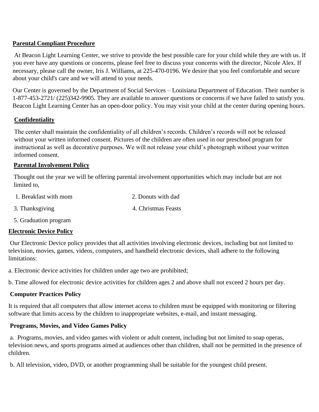# **Parental Compliant Procedure**

At Beacon Light Learning Center, we strive to provide the best possible care for your child while they are with us. If you ever have any questions or concerns, please feel free to discuss your concerns with the director, Nicole Alex. If necessary, please call the owner, Iris J. Williams, at 225-470-0196. We desire that you feel comfortable and secure about your child's care and we will attend to your needs.

Our Center is governed by the Department of Social Services – Louisiana Department of Education. Their number is 1-877-453-2721/ (225)342-9905. They are available to answer questions or concerns if we have failed to satisfy you. Beacon Light Learning Center has an open-door policy. You may visit your child at the center during opening hours.

# **Confidentiality**

The center shall maintain the confidentiality of all children's records. Children's records will not be released without your written informed consent. Pictures of the children are often used in our preschool program for instructional as well as decorative purposes. We will not release your child's photograph without your written informed consent.

#### **Parental Involvement Policy**

Thought out the year we will be offering parental involvement opportunities which may include but are not limited to,

| 1. Breakfast with mom | 2. Donuts with dad  |
|-----------------------|---------------------|
| 3. Thanksgiving       | 4. Christmas Feasts |

5. Graduation program

# **Electronic Device Policy**

Our Electronic Device policy provides that all activities involving electronic devices, including but not limited to television, movies, games, videos, computers, and handheld electronic devices, shall adhere to the following limitations:

a. Electronic device activities for children under age two are prohibited;

b. Time allowed for electronic device activities for children ages 2 and above shall not exceed 2 hours per day.

# **Computer Practices Policy**

It is required that all computers that allow internet access to children must be equipped with monitoring or filtering software that limits access by the children to inappropriate websites, e-mail, and instant messaging.

# **Programs, Movies, and Video Games Policy**

a. Programs, movies, and video games with violent or adult content, including but not limited to soap operas, television news, and sports programs aimed at audiences other than children, shall not be permitted in the presence of children.

b. All television, video, DVD, or another programming shall be suitable for the youngest child present.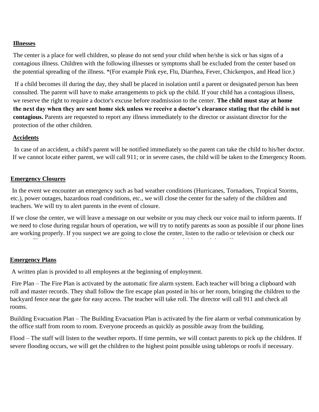# **Illnesses**

The center is a place for well children, so please do not send your child when he/she is sick or has signs of a contagious illness. Children with the following illnesses or symptoms shall be excluded from the center based on the potential spreading of the illness. \*(For example Pink eye, Flu, Diarrhea, Fever, Chickenpox, and Head lice.)

If a child becomes ill during the day, they shall be placed in isolation until a parent or designated person has been consulted. The parent will have to make arrangements to pick up the child. If your child has a contagious illness, we reserve the right to require a doctor's excuse before readmission to the center. **The child must stay at home the next day when they are sent home sick unless we receive a doctor's clearance stating that the child is not contagious.** Parents are requested to report any illness immediately to the director or assistant director for the protection of the other children.

#### **Accidents**

In case of an accident, a child's parent will be notified immediately so the parent can take the child to his/her doctor. If we cannot locate either parent, we will call 911; or in severe cases, the child will be taken to the Emergency Room.

#### **Emergency Closures**

In the event we encounter an emergency such as bad weather conditions (Hurricanes, Tornadoes, Tropical Storms, etc.), power outages, hazardous road conditions, etc., we will close the center for the safety of the children and teachers. We will try to alert parents in the event of closure.

If we close the center, we will leave a message on our website or you may check our voice mail to inform parents. If we need to close during regular hours of operation, we will try to notify parents as soon as possible if our phone lines are working properly. If you suspect we are going to close the center, listen to the radio or television or check our

#### **Emergency Plans**

A written plan is provided to all employees at the beginning of employment.

Fire Plan – The Fire Plan is activated by the automatic fire alarm system. Each teacher will bring a clipboard with roll and master records. They shall follow the fire escape plan posted in his or her room, bringing the children to the backyard fence near the gate for easy access. The teacher will take roll. The director will call 911 and check all rooms.

Building Evacuation Plan – The Building Evacuation Plan is activated by the fire alarm or verbal communication by the office staff from room to room. Everyone proceeds as quickly as possible away from the building.

Flood – The staff will listen to the weather reports. If time permits, we will contact parents to pick up the children. If severe flooding occurs, we will get the children to the highest point possible using tabletops or roofs if necessary.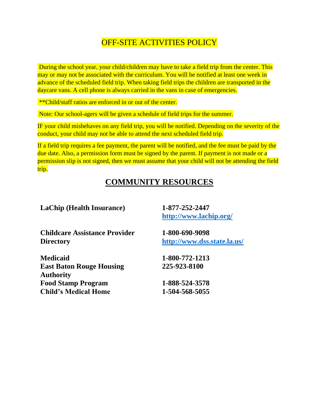# OFF-SITE ACTIVITIES POLICY

During the school year, your child/children may have to take a field trip from the center. This may or may not be associated with the curriculum. You will be notified at least one week in advance of the scheduled field trip. When taking field trips the children are transported in the daycare vans. A cell phone is always carried in the vans in case of emergencies.

\*\*Child/staff ratios are enforced in or out of the center.

Note: Our school-agers will be given a schedule of field trips for the summer.

IF your child misbehaves on any field trip, you will be notified. Depending on the severity of the conduct, your child may not be able to attend the next scheduled field trip.

If a field trip requires a fee payment, the parent will be notified, and the fee must be paid by the due date. Also, a permission form must be signed by the parent. If payment is not made or a permission slip is not signed, then we must assume that your child will not be attending the field trip.

# **COMMUNITY RESOURCES**

| 1-877-252-2447<br>http://www.lachip.org/ |
|------------------------------------------|
| 1-800-690-9098                           |
| http://www.dss.state.la.us/              |
| 1-800-772-1213                           |
| 225-923-8100                             |
| 1-888-524-3578                           |
| 1-504-568-5055                           |
|                                          |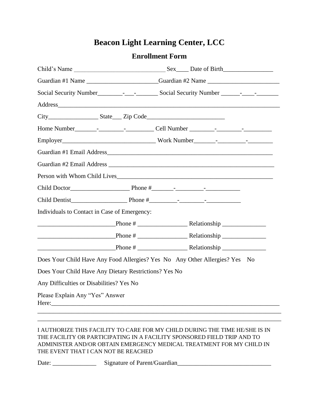# **Beacon Light Learning Center, LCC**

# **Enrollment Form**

|                                                                                  | Guardian #1 Name ________________________Guardian #2 Name ______________________ |  |  |
|----------------------------------------------------------------------------------|----------------------------------------------------------------------------------|--|--|
|                                                                                  |                                                                                  |  |  |
|                                                                                  |                                                                                  |  |  |
| City_______________________State_____ Zip Code__________________________________ |                                                                                  |  |  |
|                                                                                  |                                                                                  |  |  |
|                                                                                  |                                                                                  |  |  |
|                                                                                  |                                                                                  |  |  |
|                                                                                  |                                                                                  |  |  |
| Person with Whom Child Lives <b>Exercísies Security</b> 2014 12:38:39            |                                                                                  |  |  |
|                                                                                  |                                                                                  |  |  |
|                                                                                  |                                                                                  |  |  |
| Individuals to Contact in Case of Emergency:                                     |                                                                                  |  |  |
|                                                                                  |                                                                                  |  |  |
|                                                                                  |                                                                                  |  |  |
|                                                                                  |                                                                                  |  |  |
| Does Your Child Have Any Food Allergies? Yes No Any Other Allergies? Yes No      |                                                                                  |  |  |
| Does Your Child Have Any Dietary Restrictions? Yes No                            |                                                                                  |  |  |
| Any Difficulties or Disabilities? Yes No                                         |                                                                                  |  |  |
| Please Explain Any "Yes" Answer                                                  |                                                                                  |  |  |
|                                                                                  |                                                                                  |  |  |

#### I AUTHORIZE THIS FACILITY TO CARE FOR MY CHILD DURING THE TIME HE/SHE IS IN THE FACILITY OR PARTICIPATING IN A FACILITY SPONSORED FIELD TRIP AND TO ADMINISTER AND/OR OBTAIN EMERGENCY MEDICAL TREATMENT FOR MY CHILD IN THE EVENT THAT I CAN NOT BE REACHED

Date: \_\_\_\_\_\_\_\_\_\_\_\_\_\_ Signature of Parent/Guardian\_\_\_\_\_\_\_\_\_\_\_\_\_\_\_\_\_\_\_\_\_\_\_\_\_\_\_\_\_\_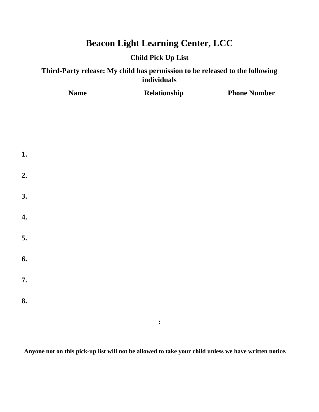# **Beacon Light Learning Center, LCC**

# **Child Pick Up List**

# **Third-Party release: My child has permission to be released to the following individuals**

**Name Relationship Phone Number** 

| 1.               |  |                |  |
|------------------|--|----------------|--|
| 2.               |  |                |  |
| 3.               |  |                |  |
| $\overline{4}$ . |  |                |  |
| 5.               |  |                |  |
| 6.               |  |                |  |
| 7.               |  |                |  |
| 8.               |  |                |  |
|                  |  | $\ddot{\cdot}$ |  |

**Anyone not on this pick-up list will not be allowed to take your child unless we have written notice.**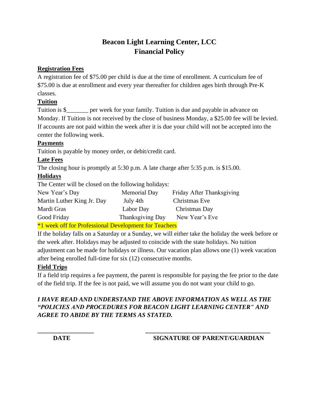# **Beacon Light Learning Center, LCC Financial Policy**

# **Registration Fees**

A registration fee of \$75.00 per child is due at the time of enrollment. A curriculum fee of \$75.00 is due at enrollment and every year thereafter for children ages birth through Pre-K classes.

# **Tuition**

Tuition is \$\_\_\_\_\_\_\_ per week for your family. Tuition is due and payable in advance on Monday. If Tuition is not received by the close of business Monday, a \$25.00 fee will be levied. If accounts are not paid within the week after it is due your child will not be accepted into the center the following week.

# **Payments**

Tuition is payable by money order, or debit/credit card.

# **Late Fees**

The closing hour is promptly at 5:30 p.m. A late charge after 5:35 p.m. is \$15.00.

# **Holidays**

The Center will be closed on the following holidays:

| New Year's Day             | Memorial Day     | Friday After Thanksgiving |
|----------------------------|------------------|---------------------------|
| Martin Luther King Jr. Day | July 4th         | Christmas Eve             |
| Mardi Gras                 | Labor Day        | Christmas Day             |
| Good Friday                | Thanksgiving Day | New Year's Eve            |
|                            |                  |                           |

\*1 week off for Professional Development for Teachers

If the holiday falls on a Saturday or a Sunday, we will either take the holiday the week before or the week after. Holidays may be adjusted to coincide with the state holidays. No tuition adjustment can be made for holidays or illness. Our vacation plan allows one (1) week vacation after being enrolled full-time for six (12) consecutive months.

# **Field Trips**

If a field trip requires a fee payment, the parent is responsible for paying the fee prior to the date of the field trip. If the fee is not paid, we will assume you do not want your child to go.

# *I HAVE READ AND UNDERSTAND THE ABOVE INFORMATION AS WELL AS THE "POLICIES AND PROCEDURES FOR BEACON LIGHT LEARNING CENTER" AND AGREE TO ABIDE BY THE TERMS AS STATED.*

**\_\_\_\_\_\_\_\_\_\_\_\_\_\_\_\_\_\_ \_\_\_\_\_\_\_\_\_\_\_\_\_\_\_\_\_\_\_\_\_\_\_\_\_\_\_\_\_\_\_\_\_\_\_\_\_\_\_\_**

# **DATE** SIGNATURE OF PARENT/GUARDIAN